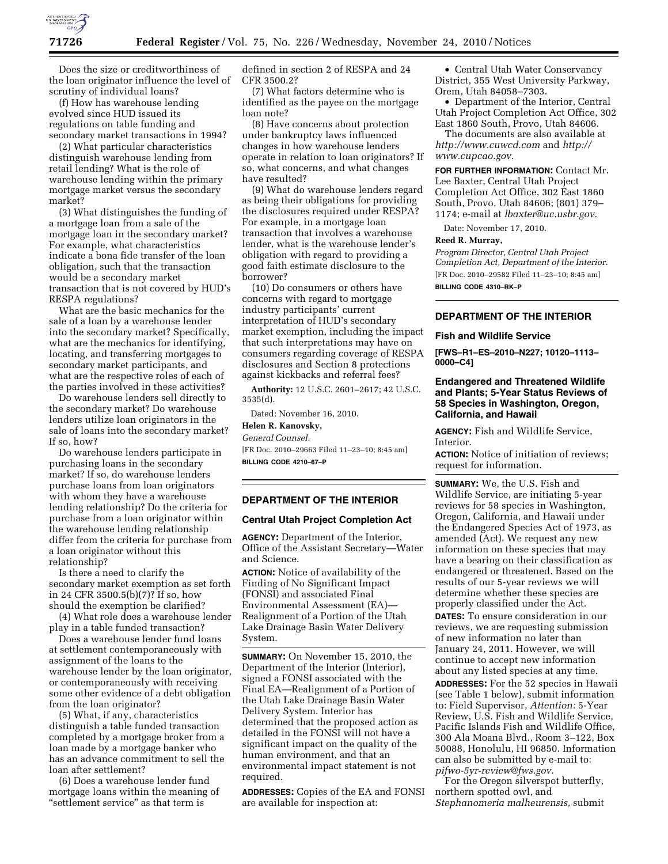

Does the size or creditworthiness of the loan originator influence the level of scrutiny of individual loans?

(f) How has warehouse lending evolved since HUD issued its regulations on table funding and secondary market transactions in 1994?

(2) What particular characteristics distinguish warehouse lending from retail lending? What is the role of warehouse lending within the primary mortgage market versus the secondary market?

(3) What distinguishes the funding of a mortgage loan from a sale of the mortgage loan in the secondary market? For example, what characteristics indicate a bona fide transfer of the loan obligation, such that the transaction would be a secondary market transaction that is not covered by HUD's RESPA regulations?

What are the basic mechanics for the sale of a loan by a warehouse lender into the secondary market? Specifically, what are the mechanics for identifying, locating, and transferring mortgages to secondary market participants, and what are the respective roles of each of the parties involved in these activities?

Do warehouse lenders sell directly to the secondary market? Do warehouse lenders utilize loan originators in the sale of loans into the secondary market? If so, how?

Do warehouse lenders participate in purchasing loans in the secondary market? If so, do warehouse lenders purchase loans from loan originators with whom they have a warehouse lending relationship? Do the criteria for purchase from a loan originator within the warehouse lending relationship differ from the criteria for purchase from a loan originator without this relationship?

Is there a need to clarify the secondary market exemption as set forth in 24 CFR 3500.5(b)(7)? If so, how should the exemption be clarified?

(4) What role does a warehouse lender play in a table funded transaction?

Does a warehouse lender fund loans at settlement contemporaneously with assignment of the loans to the warehouse lender by the loan originator, or contemporaneously with receiving some other evidence of a debt obligation from the loan originator?

(5) What, if any, characteristics distinguish a table funded transaction completed by a mortgage broker from a loan made by a mortgage banker who has an advance commitment to sell the loan after settlement?

(6) Does a warehouse lender fund mortgage loans within the meaning of "settlement service" as that term is

defined in section 2 of RESPA and 24 CFR 3500.2?

(7) What factors determine who is identified as the payee on the mortgage loan note?

(8) Have concerns about protection under bankruptcy laws influenced changes in how warehouse lenders operate in relation to loan originators? If so, what concerns, and what changes have resulted?

(9) What do warehouse lenders regard as being their obligations for providing the disclosures required under RESPA? For example, in a mortgage loan transaction that involves a warehouse lender, what is the warehouse lender's obligation with regard to providing a good faith estimate disclosure to the borrower?

(10) Do consumers or others have concerns with regard to mortgage industry participants' current interpretation of HUD's secondary market exemption, including the impact that such interpretations may have on consumers regarding coverage of RESPA disclosures and Section 8 protections against kickbacks and referral fees?

**Authority:** 12 U.S.C. 2601–2617; 42 U.S.C. 3535(d).

Dated: November 16, 2010.

### **Helen R. Kanovsky,**

*General Counsel.* 

[FR Doc. 2010–29663 Filed 11–23–10; 8:45 am] **BILLING CODE 4210–67–P** 

### **DEPARTMENT OF THE INTERIOR**

### **Central Utah Project Completion Act**

**AGENCY:** Department of the Interior, Office of the Assistant Secretary—Water and Science.

**ACTION:** Notice of availability of the Finding of No Significant Impact (FONSI) and associated Final Environmental Assessment (EA)— Realignment of a Portion of the Utah Lake Drainage Basin Water Delivery System.

**SUMMARY:** On November 15, 2010, the Department of the Interior (Interior), signed a FONSI associated with the Final EA—Realignment of a Portion of the Utah Lake Drainage Basin Water Delivery System. Interior has determined that the proposed action as detailed in the FONSI will not have a significant impact on the quality of the human environment, and that an environmental impact statement is not required.

**ADDRESSES:** Copies of the EA and FONSI are available for inspection at:

• Central Utah Water Conservancy District, 355 West University Parkway, Orem, Utah 84058–7303.

• Department of the Interior, Central Utah Project Completion Act Office, 302 East 1860 South, Provo, Utah 84606.

The documents are also available at *<http://www.cuwcd.com>* and *[http://](http://www.cupcao.gov) [www.cupcao.gov.](http://www.cupcao.gov)* 

**FOR FURTHER INFORMATION:** Contact Mr. Lee Baxter, Central Utah Project Completion Act Office, 302 East 1860 South, Provo, Utah 84606; (801) 379– 1174; e-mail at *[lbaxter@uc.usbr.gov.](mailto:lbaxter@uc.usbr.gov)* 

Date: November 17, 2010.

#### **Reed R. Murray,**

*Program Director, Central Utah Project Completion Act, Department of the Interior.*  [FR Doc. 2010–29582 Filed 11–23–10; 8:45 am] **BILLING CODE 4310–RK–P** 

**DEPARTMENT OF THE INTERIOR** 

### **Fish and Wildlife Service**

**[FWS–R1–ES–2010–N227; 10120–1113– 0000–C4]** 

## **Endangered and Threatened Wildlife and Plants; 5-Year Status Reviews of 58 Species in Washington, Oregon, California, and Hawaii**

**AGENCY:** Fish and Wildlife Service, Interior.

**ACTION:** Notice of initiation of reviews; request for information.

**SUMMARY:** We, the U.S. Fish and Wildlife Service, are initiating 5-year reviews for 58 species in Washington, Oregon, California, and Hawaii under the Endangered Species Act of 1973, as amended (Act). We request any new information on these species that may have a bearing on their classification as endangered or threatened. Based on the results of our 5-year reviews we will determine whether these species are properly classified under the Act. **DATES:** To ensure consideration in our reviews, we are requesting submission of new information no later than January 24, 2011. However, we will continue to accept new information about any listed species at any time. **ADDRESSES:** For the 52 species in Hawaii

(see Table 1 below), submit information to: Field Supervisor, *Attention:* 5-Year Review, U.S. Fish and Wildlife Service, Pacific Islands Fish and Wildlife Office, 300 Ala Moana Blvd., Room 3–122, Box 50088, Honolulu, HI 96850. Information can also be submitted by e-mail to: *[pifwo-5yr-review@fws.gov.](mailto:pifwo-5yr-review@fws.gov)* 

For the Oregon silverspot butterfly, northern spotted owl, and *Stephanomeria malheurensis,* submit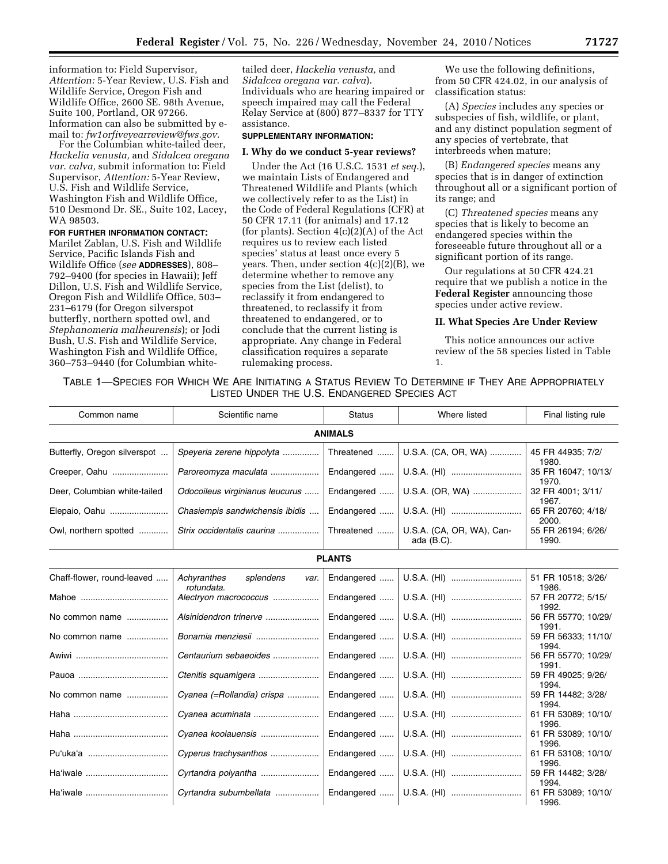information to: Field Supervisor, *Attention:* 5-Year Review, U.S. Fish and Wildlife Service, Oregon Fish and Wildlife Office, 2600 SE. 98th Avenue, Suite 100, Portland, OR 97266. Information can also be submitted by email to: *[fw1orfiveyearreview@fws.gov.](mailto:fw1orfiveyearreview@fws.gov)* 

For the Columbian white-tailed deer, *Hackelia venusta,* and *Sidalcea oregana var. calva,* submit information to: Field Supervisor, *Attention:* 5-Year Review, U.S. Fish and Wildlife Service, Washington Fish and Wildlife Office, 510 Desmond Dr. SE., Suite 102, Lacey, WA 98503.

**FOR FURTHER INFORMATION CONTACT:**  Marilet Zablan, U.S. Fish and Wildlife Service, Pacific Islands Fish and Wildlife Office (*see* **ADDRESSES**), 808– 792–9400 (for species in Hawaii); Jeff Dillon, U.S. Fish and Wildlife Service, Oregon Fish and Wildlife Office, 503– 231–6179 (for Oregon silverspot butterfly, northern spotted owl, and *Stephanomeria malheurensis*); or Jodi Bush, U.S. Fish and Wildlife Service, Washington Fish and Wildlife Office, 360–753–9440 (for Columbian white-

tailed deer, *Hackelia venusta,* and *Sidalcea oregana var. calva*). Individuals who are hearing impaired or speech impaired may call the Federal Relay Service at (800) 877–8337 for TTY assistance.

### **SUPPLEMENTARY INFORMATION:**

### **I. Why do we conduct 5-year reviews?**

Under the Act (16 U.S.C. 1531 *et seq.*), we maintain Lists of Endangered and Threatened Wildlife and Plants (which we collectively refer to as the List) in the Code of Federal Regulations (CFR) at 50 CFR 17.11 (for animals) and 17.12 (for plants). Section  $4(c)(2)(A)$  of the Act requires us to review each listed species' status at least once every 5 years. Then, under section  $4(c)(2)(B)$ , we determine whether to remove any species from the List (delist), to reclassify it from endangered to threatened, to reclassify it from threatened to endangered, or to conclude that the current listing is appropriate. Any change in Federal classification requires a separate rulemaking process.

We use the following definitions, from 50 CFR 424.02, in our analysis of classification status:

(A) *Species* includes any species or subspecies of fish, wildlife, or plant, and any distinct population segment of any species of vertebrate, that interbreeds when mature;

(B) *Endangered species* means any species that is in danger of extinction throughout all or a significant portion of its range; and

(C) *Threatened species* means any species that is likely to become an endangered species within the foreseeable future throughout all or a significant portion of its range.

Our regulations at 50 CFR 424.21 require that we publish a notice in the **Federal Register** announcing those species under active review.

### **II. What Species Are Under Review**

This notice announces our active review of the 58 species listed in Table 1.

TABLE 1—SPECIES FOR WHICH WE ARE INITIATING A STATUS REVIEW TO DETERMINE IF THEY ARE APPROPRIATELY LISTED UNDER THE U.S. ENDANGERED SPECIES ACT

| Common name                  | Scientific name                                | <b>Status</b> | Where listed                               | Final listing rule                    |  |  |  |
|------------------------------|------------------------------------------------|---------------|--------------------------------------------|---------------------------------------|--|--|--|
| <b>ANIMALS</b>               |                                                |               |                                            |                                       |  |  |  |
| Butterfly, Oregon silverspot | Speyeria zerene hippolyta                      | Threatened    | U.S.A. (CA, OR, WA)                        | 45 FR 44935; 7/2/<br>1980.            |  |  |  |
| Creeper, Oahu                | Paroreomyza maculata                           | Endangered    |                                            | 35 FR 16047; 10/13/                   |  |  |  |
| Deer, Columbian white-tailed | Odocoileus virginianus leucurus                | Endangered    | U.S.A. (OR, WA)                            | 1970.<br>32 FR 4001; 3/11/<br>1967.   |  |  |  |
| Elepaio, Oahu                | Chasiempis sandwichensis ibidis                | Endangered    | U.S.A. (HI)                                | 65 FR 20760; 4/18/<br>2000.           |  |  |  |
| Owl, northern spotted        | Strix occidentalis caurina                     | Threatened    | U.S.A. (CA, OR, WA), Can-<br>ada $(B.C)$ . | 55 FR 26194; 6/26/<br>1990.           |  |  |  |
| <b>PLANTS</b>                |                                                |               |                                            |                                       |  |  |  |
| Chaff-flower, round-leaved   | Achyranthes<br>splendens<br>var.<br>rotundata. | Endangered    | U.S.A. (HI)                                | 51 FR 10518; 3/26/<br>1986.           |  |  |  |
|                              | Alectryon macrococcus                          | Endangered    | U.S.A. (HI)                                | 57 FR 20772; 5/15/<br>1992.           |  |  |  |
| No common name               | Alsinidendron trinerve                         | Endangered    | U.S.A. (HI)                                | 56 FR 55770; 10/29/<br>1991.          |  |  |  |
| No common name               | Bonamia menziesii                              |               | Endangered    U.S.A. (HI)                  | 59 FR 56333; 11/10/<br>1994.          |  |  |  |
|                              | Centaurium sebaeoides                          | Endangered    | U.S.A. (HI)                                | 56 FR 55770; 10/29/                   |  |  |  |
|                              |                                                | Endangered    | U.S.A. (HI)                                | 1991.<br>59 FR 49025; 9/26/<br>1994.  |  |  |  |
| No common name               | Cyanea (=Rollandia) crispa                     |               | Endangered    U.S.A. (HI)                  | 59 FR 14482; 3/28/<br>1994.           |  |  |  |
|                              |                                                | Endangered    | U.S.A. (HI)                                | 61 FR 53089; 10/10/                   |  |  |  |
|                              | Cyanea koolauensis                             | Endangered    | U.S.A. (HI)                                | 1996.<br>61 FR 53089; 10/10/<br>1996. |  |  |  |
|                              | Cyperus trachysanthos                          |               | Endangered    U.S.A. (HI)                  | 61 FR 53108; 10/10/<br>1996.          |  |  |  |
| Ha'iwale                     | Cyrtandra polyantha                            | Endangered    | U.S.A. (HI)                                | 59 FR 14482; 3/28/                    |  |  |  |
| Ha'iwale                     | Cyrtandra subumbellata                         |               |                                            | 1994.<br>61 FR 53089; 10/10/<br>1996. |  |  |  |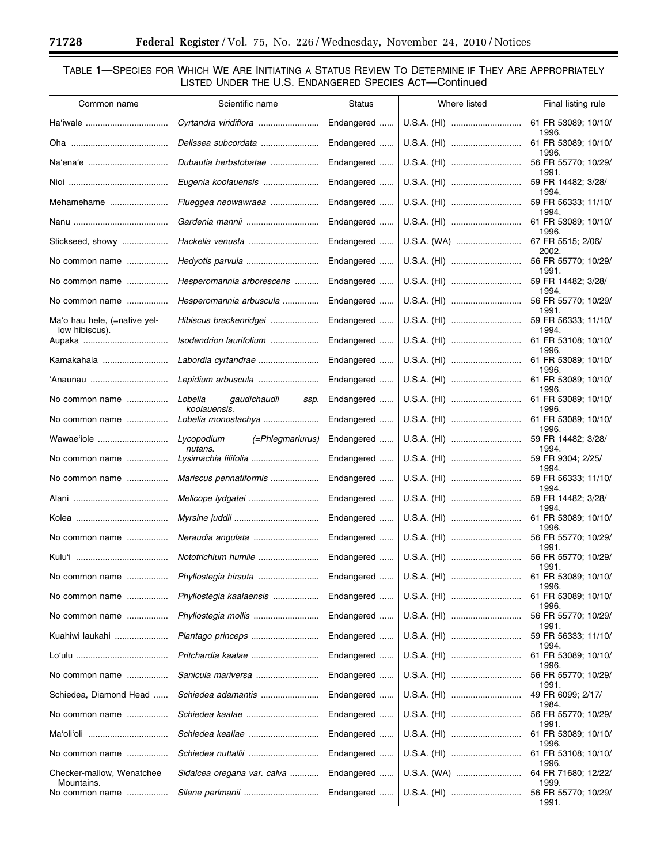Ξ

۰

# TABLE 1—SPECIES FOR WHICH WE ARE INITIATING A STATUS REVIEW TO DETERMINE IF THEY ARE APPROPRIATELY LISTED UNDER THE U.S. ENDANGERED SPECIES ACT—Continued

| Common name                                    | Scientific name                     | Status     | Where listed | Final listing rule                    |
|------------------------------------------------|-------------------------------------|------------|--------------|---------------------------------------|
| Ha'iwale                                       | Cyrtandra viridiflora               | Endangered | U.S.A. (HI)  | 61 FR 53089; 10/10/                   |
|                                                | Delissea subcordata                 | Endangered | U.S.A. (HI)  | 1996.<br>61 FR 53089; 10/10/          |
|                                                | Dubautia herbstobatae               | Endangered | U.S.A. (HI)  | 1996.<br>56 FR 55770; 10/29/          |
|                                                | Eugenia koolauensis                 | Endangered | U.S.A. (HI)  | 1991.<br>59 FR 14482; 3/28/           |
| Mehamehame                                     | Flueggea neowawraea                 | Endangered | U.S.A. (HI)  | 1994.<br>59 FR 56333; 11/10/          |
|                                                |                                     |            |              | 1994.                                 |
|                                                |                                     | Endangered | U.S.A. (HI)  | 61 FR 53089; 10/10/<br>1996.          |
| Stickseed, showy                               | Hackelia venusta                    | Endangered | U.S.A. (WA)  | 67 FR 5515; 2/06/<br>2002.            |
| No common name                                 |                                     | Endangered | U.S.A. (HI)  | 56 FR 55770; 10/29/<br>1991.          |
| No common name                                 | Hesperomannia arborescens           | Endangered | U.S.A. (HI)  | 59 FR 14482; 3/28/<br>1994.           |
| No common name                                 | Hesperomannia arbuscula             | Endangered | U.S.A. (HI)  | 56 FR 55770; 10/29/<br>1991.          |
| Ma'o hau hele, (=native yel-<br>low hibiscus). | Hibiscus brackenridgei              | Endangered | U.S.A. (HI)  | 59 FR 56333; 11/10/<br>1994.          |
|                                                | Isodendrion laurifolium             | Endangered | U.S.A. (HI)  | 61 FR 53108; 10/10/<br>1996.          |
| Kamakahala                                     | Labordia cyrtandrae                 | Endangered | U.S.A. (HI)  | 61 FR 53089; 10/10/<br>1996.          |
|                                                | Lepidium arbuscula                  | Endangered | U.S.A. (HI)  | 61 FR 53089; 10/10/                   |
| No common name                                 | Lobelia<br>gaudichaudii<br>ssp.     | Endangered | U.S.A. (HI)  | 1996.<br>61 FR 53089; 10/10/          |
| No common name                                 | koolauensis.<br>Lobelia monostachya | Endangered | U.S.A. (HI)  | 1996.<br>61 FR 53089; 10/10/          |
| Wawae'iole                                     | Lycopodium<br>(=Phlegmariurus)      | Endangered | U.S.A. (HI)  | 1996.<br>59 FR 14482; 3/28/           |
| No common name                                 | nutans.                             | Endangered | U.S.A. (HI)  | 1994.<br>59 FR 9304; 2/25/            |
| No common name                                 | Mariscus pennatiformis              | Endangered | U.S.A. (HI)  | 1994.<br>59 FR 56333; 11/10/          |
|                                                | Melicope lydgatei                   | Endangered | U.S.A. (HI)  | 1994.<br>59 FR 14482; 3/28/           |
|                                                |                                     | Endangered | U.S.A. (HI)  | 1994.<br>61 FR 53089; 10/10/          |
| No common name                                 |                                     | Endangered | U.S.A. (HI)  | 1996.<br>56 FR 55770; 10/29/          |
|                                                | Nototrichium humile                 | Endangered | U.S.A. (HI)  | 1991.<br>56 FR 55770; 10/29/          |
| No common name                                 | Phyllostegia hirsuta                |            |              | 1991.<br>61 FR 53089; 10/10/          |
| No common name                                 | Phyllostegia kaalaensis             | Endangered | U.S.A. (HI)  | 1996.<br>61 FR 53089; 10/10/          |
| No common name                                 |                                     | Endangered | U.S.A. (HI)  | 1996.<br>56 FR 55770; 10/29/          |
| Kuahiwi laukahi                                | Plantago princeps                   | Endangered | U.S.A. (HI)  | 1991.<br>59 FR 56333; 11/10/          |
|                                                | Pritchardia kaalae                  | Endangered | U.S.A. (HI)  | 1994.<br>61 FR 53089; 10/10/          |
| No common name                                 | Sanicula mariversa                  | Endangered | U.S.A. (HI)  | 1996.<br>56 FR 55770; 10/29/          |
| Schiedea, Diamond Head                         | Schiedea adamantis                  | Endangered | U.S.A. (HI)  | 1991.<br>49 FR 6099; 2/17/            |
| No common name                                 | Schiedea kaalae                     | Endangered | U.S.A. (HI)  | 1984.<br>56 FR 55770; 10/29/          |
|                                                |                                     | Endangered | U.S.A. (HI)  | 1991.<br>61 FR 53089; 10/10/          |
| No common name                                 |                                     | Endangered | U.S.A. (HI)  | 1996.<br>61 FR 53108; 10/10/          |
| Checker-mallow, Wenatchee                      | Sidalcea oregana var. calva         | Endangered | U.S.A. (WA)  | 1996.<br>64 FR 71680; 12/22/          |
| Mountains.<br>No common name                   |                                     | Endangered | U.S.A. (HI)  | 1999.<br>56 FR 55770; 10/29/<br>1991. |